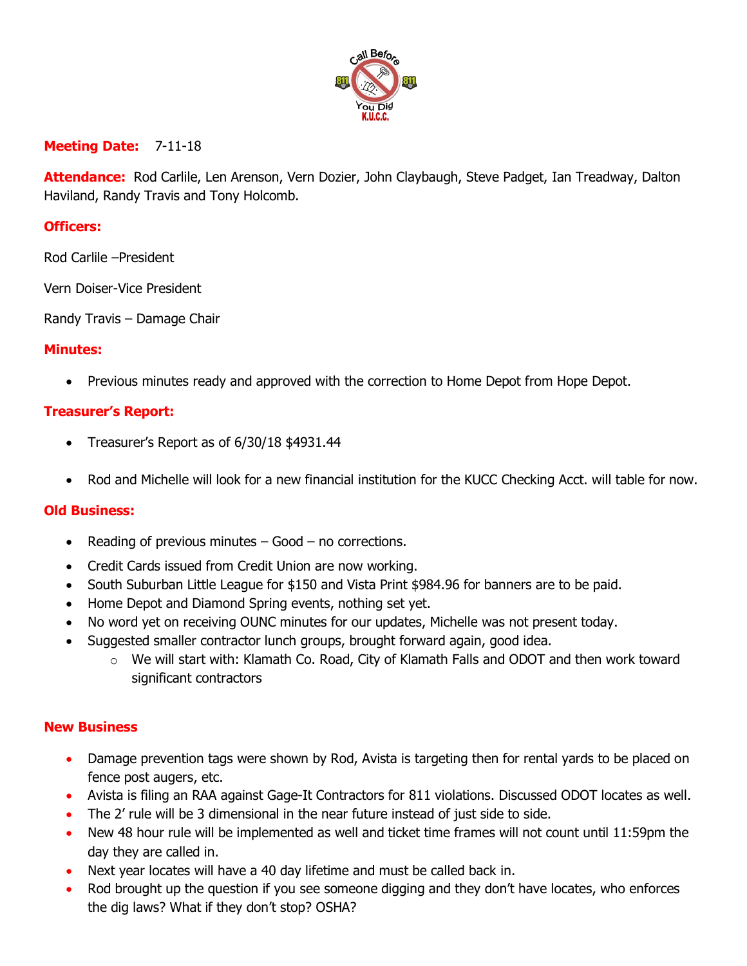

# **Meeting Date:** 7-11-18

**Attendance:** Rod Carlile, Len Arenson, Vern Dozier, John Claybaugh, Steve Padget, Ian Treadway, Dalton Haviland, Randy Travis and Tony Holcomb.

## **Officers:**

Rod Carlile –President

Vern Doiser-Vice President

Randy Travis – Damage Chair

#### **Minutes:**

• Previous minutes ready and approved with the correction to Home Depot from Hope Depot.

# **Treasurer's Report:**

- Treasurer's Report as of 6/30/18 \$4931.44
- Rod and Michelle will look for a new financial institution for the KUCC Checking Acct. will table for now.

### **Old Business:**

- Reading of previous minutes Good no corrections.
- Credit Cards issued from Credit Union are now working.
- South Suburban Little League for \$150 and Vista Print \$984.96 for banners are to be paid.
- Home Depot and Diamond Spring events, nothing set yet.
- No word yet on receiving OUNC minutes for our updates, Michelle was not present today.
- Suggested smaller contractor lunch groups, brought forward again, good idea.
	- $\circ$  We will start with: Klamath Co. Road, City of Klamath Falls and ODOT and then work toward significant contractors

### **New Business**

- Damage prevention tags were shown by Rod, Avista is targeting then for rental yards to be placed on fence post augers, etc.
- Avista is filing an RAA against Gage-It Contractors for 811 violations. Discussed ODOT locates as well.
- The 2' rule will be 3 dimensional in the near future instead of just side to side.
- New 48 hour rule will be implemented as well and ticket time frames will not count until 11:59pm the day they are called in.
- Next year locates will have a 40 day lifetime and must be called back in.
- Rod brought up the question if you see someone digging and they don't have locates, who enforces the dig laws? What if they don't stop? OSHA?